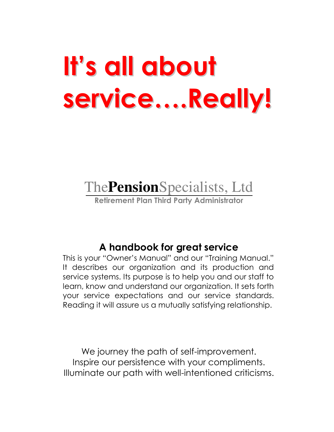# It's all about service....Really!

## The **Pension** Specialists, Ltd

Retirement Plan Third Party Administrator

## A handbook for great service

This is your "Owner's Manual" and our "Training Manual." It describes our organization and its production and service systems. Its purpose is to help you and our staff to learn, know and understand our organization. It sets forth your service expectations and our service standards. Reading it will assure us a mutually satisfying relationship.

We journey the path of self-improvement. Inspire our persistence with your compliments. Illuminate our path with well-intentioned criticisms.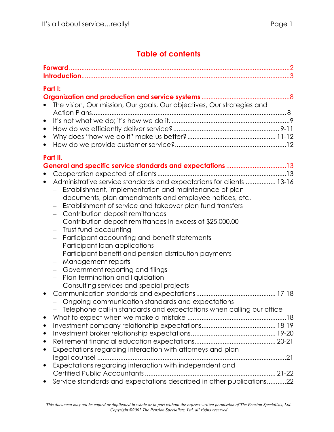#### **Table of contents**

| Part I:<br>The vision, Our mission, Our goals, Our objectives, Our strategies and<br>$\bullet$<br>$\bullet$<br>$\bullet$<br>$\bullet$                                                                                                                                                                                                                                                                                                                                                                                                                                                                                                                                                                                                                                                                            |  |
|------------------------------------------------------------------------------------------------------------------------------------------------------------------------------------------------------------------------------------------------------------------------------------------------------------------------------------------------------------------------------------------------------------------------------------------------------------------------------------------------------------------------------------------------------------------------------------------------------------------------------------------------------------------------------------------------------------------------------------------------------------------------------------------------------------------|--|
| Part II.<br>Administrative service standards and expectations for clients  13-16<br>$\bullet$<br>Establishment, implementation and maintenance of plan<br>documents, plan amendments and employee notices, etc.<br>Establishment of service and takeover plan fund transfers<br>Contribution deposit remittances<br>$\overline{\phantom{0}}$<br>Contribution deposit remittances in excess of \$25,000.00<br>Trust fund accounting<br>$\overline{\phantom{0}}$<br>Participant accounting and benefit statements<br>$\overline{\phantom{0}}$<br>Participant loan applications<br>$\overline{\phantom{0}}$<br>Participant benefit and pension distribution payments<br>$\qquad \qquad -$<br>Management reports<br>Government reporting and filings<br>$\overline{\phantom{0}}$<br>Plan termination and liquidation |  |
| Consulting services and special projects<br>$\qquad \qquad -$<br>$\bullet$<br>Ongoing communication standards and expectations<br>Telephone call-in standards and expectations when calling our office<br>$\bullet$<br>$\bullet$<br>$\bullet$<br>Expectations regarding interaction with attorneys and plan<br>$\bullet$<br>legal counsel<br>Expectations regarding interaction with independent and<br>$\bullet$                                                                                                                                                                                                                                                                                                                                                                                                |  |
| Service standards and expectations described in other publications22                                                                                                                                                                                                                                                                                                                                                                                                                                                                                                                                                                                                                                                                                                                                             |  |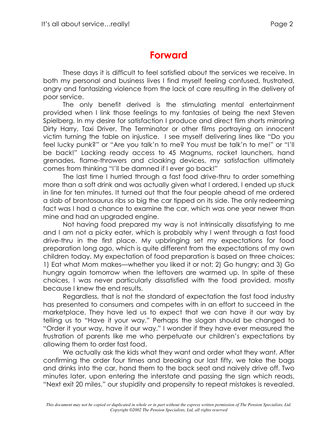## **Forward**

These days it is difficult to feel satisfied about the services we receive. In both my personal and business lives I find myself feeling confused, frustrated, angry and fantasizing violence from the lack of care resulting in the delivery of poor service.

The only benefit derived is the stimulating mental entertainment provided when I link those feelings to my fantasies of being the next Steven Spielberg. In my desire for satisfaction I produce and direct film shorts mirroring Dirty Harry, Taxi Driver, The Terminator or other films portraying an innocent victim turning the table on injustice. I see myself delivering lines like "Do you feel lucky punk?" or "Are you talk'n to me? You must be talk'n to me!" or "I'll be back!" Lacking ready access to 45 Magnums, rocket launchers, hand grenades, flame-throwers and cloaking devices, my satisfaction ultimately comes from thinking "I'll be damned if I ever go back!"

The last time I hurried through a fast food drive-thru to order something more than a soft drink and was actually given what I ordered, I ended up stuck in line for ten minutes. It turned out that the four people ahead of me ordered a slab of brontosaurus ribs so big the car tipped on its side. The only redeeming fact was I had a chance to examine the car, which was one year newer than mine and had an upgraded engine.

Not having food prepared my way is not intrinsically dissatisfying to me and I am not a picky eater, which is probably why I went through a fast food drive-thru in the first place. My upbringing set my expectations for food preparation long ago, which is quite different from the expectations of my own children today. My expectation of food preparation is based on three choices: 1) Eat what Mom makes—whether you liked it or not; 2) Go hungry; and 3) Go hungry again tomorrow when the leftovers are warmed up. In spite of these choices, I was never particularly dissatisfied with the food provided, mostly because I knew the end results.

Regardless, that is not the standard of expectation the fast food industry has presented to consumers and competes with in an effort to succeed in the marketplace. They have led us to expect that we can have it our way by telling us to "Have it your way." Perhaps the slogan should be changed to "Order it your way, have it our way." I wonder if they have ever measured the frustration of parents like me who perpetuate our children's expectations by allowing them to order fast food.

We actually ask the kids what they want and order what they want. After confirming the order four times and breaking our last fifty, we take the bags and drinks into the car, hand them to the back seat and naively drive off. Two minutes later, upon entering the interstate and passing the sign which reads, "Next exit 20 miles," our stupidity and propensity to repeat mistakes is revealed.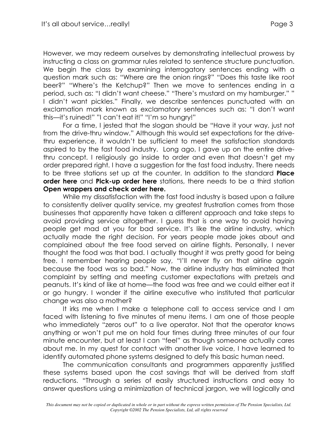However, we may redeem ourselves by demonstrating intellectual prowess by instructing a class on grammar rules related to sentence structure punctuation. We begin the class by examining interrogatory sentences ending with a question mark such as: "Where are the onion rings?" "Does this taste like root beer?" "Where's the Ketchup?" Then we move to sentences ending in a period, such as: "I didn't want cheese." "There's mustard on my hamburger." " I didn't want pickles." Finally, we describe sentences punctuated with an exclamation mark known as exclamatory sentences such as: "I don't want this-it's ruined!" "I can't eat it!" "I'm so hungry!"

For a time, I jested that the slogan should be "Have it your way, just not from the drive-thru window." Although this would set expectations for the drivethru experience, it wouldn't be sufficient to meet the satisfaction standards aspired to by the fast food industry. Long ago, I gave up on the entire drivethru concept. I religiously go inside to order and even that doesn't get my order prepared right. I have a suggestion for the fast food industry. There needs to be three stations set up at the counter. In addition to the standard **Place** order here and Pick-up order here stations, there needs to be a third station Open wrappers and check order here.

While my dissatisfaction with the fast food industry is based upon a failure to consistently deliver quality service, my greatest frustration comes from those businesses that apparently have taken a different approach and take steps to avoid providing service altogether. I guess that is one way to avoid having people get mad at you for bad service. It's like the airline industry, which actually made the right decision. For years people made jokes about and complained about the free food served on airline flights. Personally, I never thought the food was that bad. I actually thought it was pretty good for being free. I remember hearing people say, "I'll never fly on that airline again because the food was so bad." Now, the airline industry has eliminated that complaint by setting and meeting customer expectations with pretzels and peanuts. It's kind of like at home—the food was free and we could either eat it or go hungry. I wonder if the airline executive who instituted that particular change was also a mother?

It irks me when I make a telephone call to access service and I am faced with listening to five minutes of menu items. I am one of those people who immediately "zeros out" to a live operator. Not that the operator knows anything or won't put me on hold four times during three minutes of our four minute encounter, but at least I can "feel" as though someone actually cares about me. In my quest for contact with another live voice, I have learned to identify automated phone systems designed to defy this basic human need.

The communication consultants and programmers apparently justified these systems based upon the cost savings that will be derived from staff reductions. "Through a series of easily structured instructions and easy to answer questions using a minimization of technical jargon, we will logically and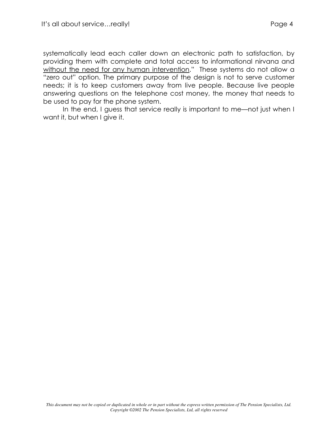systematically lead each caller down an electronic path to satisfaction, by providing them with complete and total access to informational nirvana and without the need for any human intervention." These systems do not allow a "zero out" option. The primary purpose of the design is not to serve customer needs; it is to keep customers away from live people. Because live people answering questions on the telephone cost money, the money that needs to be used to pay for the phone system.

In the end, I guess that service really is important to me—not just when I want it, but when I give it.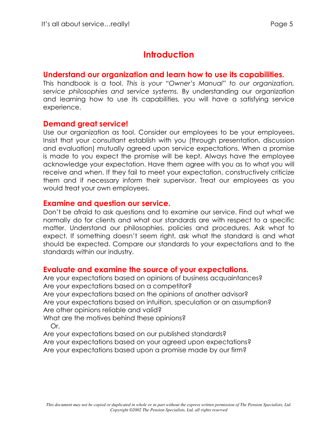## **Introduction**

#### Understand our organization and learn how to use its capabilities.

This handbook is a tool. This is your "Owner's Manual" to our organization, service philosophies and service systems. By understanding our organization and learning how to use its capabilities, you will have a satisfying service experience.

#### **Demand great service!**

Use our organization as tool. Consider our employees to be your employees. Insist that your consultant establish with you (through presentation, discussion and evaluation) mutually agreed upon service expectations. When a promise is made to you expect the promise will be kept. Always have the employee acknowledge your expectation. Have them agree with you as to what you will receive and when. If they fail to meet your expectation, constructively criticize them and if necessary inform their supervisor. Treat our employees as you would treat your own employees.

#### **Examine and question our service.**

Don't be afraid to ask questions and to examine our service. Find out what we normally do for clients and what our standards are with respect to a specific matter. Understand our philosophies, policies and procedures. Ask what to expect. If something doesn't seem right, ask what the standard is and what should be expected. Compare our standards to your expectations and to the standards within our industry.

#### Evaluate and examine the source of your expectations.

Are your expectations based on opinions of business acquaintances? Are your expectations based on a competitor? Are your expectations based on the opinions of another advisor? Are your expectations based on intuition, speculation or an assumption? Are other opinions reliable and valid? What are the motives behind these opinions? Or, Are your expectations based on our published standards?

Are your expectations based on your agreed upon expectations? Are your expectations based upon a promise made by our firm?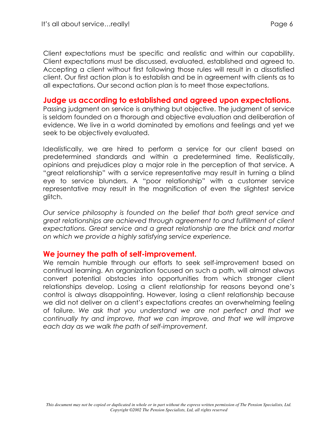Client expectations must be specific and realistic and within our capability. Client expectations must be discussed, evaluated, established and gareed to. Accepting a client without first following those rules will result in a dissatisfied client. Our first action plan is to establish and be in agreement with clients as to all expectations. Our second action plan is to meet those expectations.

#### Judge us according to established and agreed upon expectations.

Passing judgment on service is anything but objective. The judgment of service is seldom founded on a thorough and objective evaluation and deliberation of evidence. We live in a world dominated by emotions and feelings and yet we seek to be objectively evaluated.

Idealistically, we are hired to perform a service for our client based on predetermined standards and within a predetermined time. Realistically, opinions and prejudices play a major role in the perception of that service. A "great relationship" with a service representative may result in turning a blind eye to service blunders. A "poor relationship" with a customer service representative may result in the magnification of even the slightest service glitch.

Our service philosophy is founded on the belief that both great service and great relationships are achieved through agreement to and fulfillment of client expectations. Great service and a great relationship are the brick and mortar on which we provide a highly satisfying service experience.

#### We journey the path of self-improvement.

We remain humble through our efforts to seek self-improvement based on continual learning. An organization focused on such a path, will almost always convert potential obstacles into opportunities from which stronger client relationships develop. Losing a client relationship for reasons beyond one's control is always disappointing. However, losing a client relationship because we did not deliver on a client's expectations creates an overwhelming feeling of failure. We ask that you understand we are not perfect and that we continually try and improve, that we can improve, and that we will improve each day as we walk the path of self-improvement.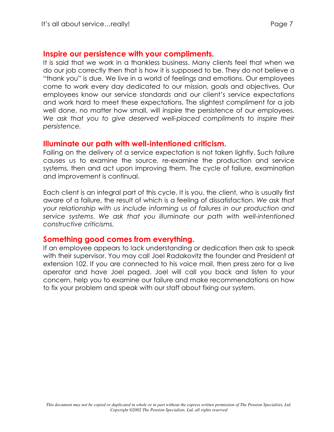#### Inspire our persistence with your compliments.

It is said that we work in a thankless business. Many clients feel that when we do our job correctly then that is how it is supposed to be. They do not believe a "thank you" is due. We live in a world of feelings and emotions. Our employees come to work every day dedicated to our mission, goals and objectives. Our employees know our service standards and our client's service expectations and work hard to meet these expectations. The slightest compliment for a job well done, no matter how small, will inspire the persistence of our employees. We ask that you to give deserved well-placed compliments to inspire their persistence.

#### Illuminate our path with well-intentioned criticism.

Failing on the delivery of a service expectation is not taken lightly. Such failure causes us to examine the source, re-examine the production and service systems, then and act upon improving them. The cycle of failure, examination and improvement is continual.

Each client is an integral part of this cycle. It is you, the client, who is usually first aware of a failure, the result of which is a feeling of dissatisfaction. We ask that your relationship with us include informing us of failures in our production and service systems. We ask that you illuminate our path with well-intentioned constructive criticisms.

#### Something good comes from everything.

If an employee appears to lack understanding or dedication then ask to speak with their supervisor. You may call Joel Radakovitz the founder and President at extension 102. If you are connected to his voice mail, then press zero for a live operator and have Joel paged. Joel will call you back and listen to your concern, help you to examine our failure and make recommendations on how to fix your problem and speak with our staff about fixing our system.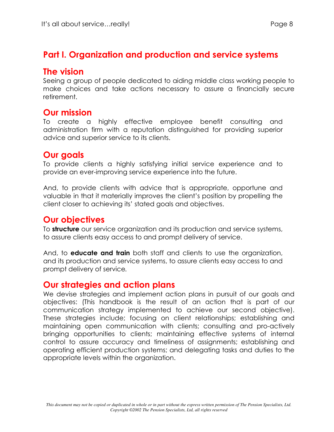## Part I. Organization and production and service systems

#### The vision

Seeing a group of people dedicated to aiding middle class working people to make choices and take actions necessary to assure a financially secure retirement.

#### **Our mission**

To create a highly effective employee benefit consulting and administration firm with a reputation distinguished for providing superior advice and superior service to its clients.

## **Our goals**

To provide clients a highly satisfying initial service experience and to provide an ever-improving service experience into the future.

And, to provide clients with advice that is appropriate, opportune and valuable in that it materially improves the client's position by propelling the client closer to achieving its' stated goals and objectives.

## **Our objectives**

To structure our service organization and its production and service systems, to assure clients easy access to and prompt delivery of service.

And, to **educate and train** both staff and clients to use the organization, and its production and service systems, to assure clients easy access to and prompt delivery of service.

## Our strategies and action plans

We devise strategies and implement action plans in pursuit of our goals and objectives: (This handbook is the result of an action that is part of our communication strategy implemented to achieve our second objective). These strategies include; focusing on client relationships; establishing and maintaining open communication with clients; consulting and pro-actively bringing opportunities to clients; maintaining effective systems of internal control to assure accuracy and timeliness of assignments; establishing and operating efficient production systems; and delegating tasks and duties to the appropriate levels within the organization.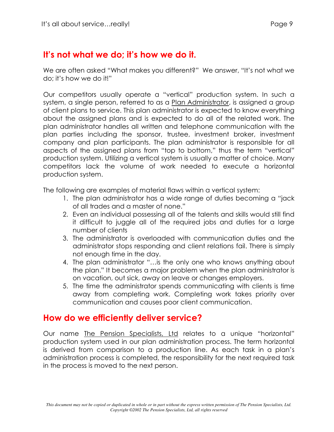## It's not what we do; it's how we do it.

We are often asked "What makes you different?" We answer, "It's not what we do; it's how we do it!"

Our competitors usually operate a "vertical" production system. In such a system, a single person, referred to as a Plan Administrator, is assigned a group of client plans to service. This plan administrator is expected to know everything about the assigned plans and is expected to do all of the related work. The plan administrator handles all written and telephone communication with the plan parties including the sponsor, trustee, investment broker, investment company and plan participants. The plan administrator is responsible for all aspects of the assigned plans from "top to bottom," thus the term "vertical" production system. Utilizing a vertical system is usually a matter of choice. Many competitors lack the volume of work needed to execute a horizontal production system.

The following are examples of material flaws within a vertical system:

- 1. The plan administrator has a wide range of duties becoming a "jack" of all trades and a master of none."
- 2. Even an individual possessing all of the talents and skills would still find it difficult to juggle all of the required jobs and duties for a large number of clients
- 3. The administrator is overloaded with communication duties and the administrator stops responding and client relations fail. There is simply not enough time in the day.
- 4. The plan administrator "...is the only one who knows anything about the plan." It becomes a major problem when the plan administrator is on vacation, out sick, away on leave or changes employers.
- 5. The time the administrator spends communicating with clients is time away from completing work. Completing work takes priority over communication and causes poor client communication.

## How do we efficiently deliver service?

Our name The Pension Specialists, Ltd relates to a unique "horizontal" production system used in our plan administration process. The term horizontal is derived from comparison to a production line. As each task in a plan's administration process is completed, the responsibility for the next required task in the process is moved to the next person.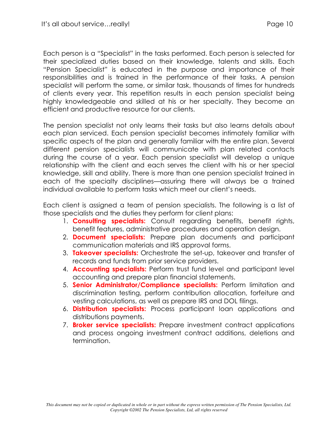Each person is a "Specialist" in the tasks performed. Each person is selected for their specialized duties based on their knowledge, talents and skills. Each "Pension Specialist" is educated in the purpose and importance of their responsibilities and is trained in the performance of their tasks. A pension specialist will perform the same, or similar task, thousands of times for hundreds of clients every year. This repetition results in each pension specialist being highly knowledgeable and skilled at his or her specialty. They become an efficient and productive resource for our clients.

The pension specialist not only learns their tasks but also learns details about each plan serviced. Each pension specialist becomes intimately familiar with specific aspects of the plan and generally familiar with the entire plan. Several different pension specialists will communicate with plan related contacts during the course of a year. Each pension specialist will develop a unique relationship with the client and each serves the client with his or her special knowledge, skill and ability. There is more than one pension specialist trained in each of the specialty disciplines—assuring there will always be a trained individual available to perform tasks which meet our client's needs.

Each client is assigned a team of pension specialists. The following is a list of those specialists and the duties they perform for client plans:

- 1. **Consulting specialists:** Consult regarding benefits, benefit rights, benefit features, administrative procedures and operation design.
- 2. **Document specialists:** Prepare plan documents and participant communication materials and IRS approval forms.
- 3. Takeover specialists: Orchestrate the set-up, takeover and transfer of records and funds from prior service providers.
- 4. **Accounting specialists:** Perform trust fund level and participant level accounting and prepare plan financial statements.
- 5. Senior Administrator/Compliance specialists: Perform limitation and discrimination testing, perform contribution allocation, forfeiture and vesting calculations, as well as prepare IRS and DOL filings.
- 6. Distribution specialists: Process participant loan applications and distributions payments.
- 7. **Broker service specialists:** Prepare investment contract applications and process ongoing investment contract additions, deletions and termination.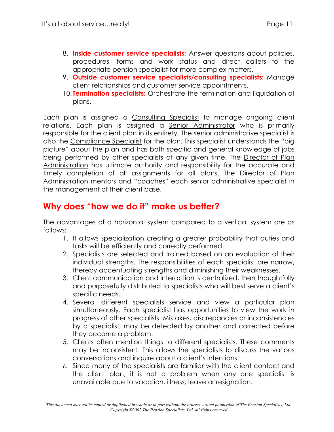- 8. Inside customer service specialists: Answer questions about policies, procedures, forms and work status and direct callers to the appropriate pension specialist for more complex matters.
- 9. Outside customer service specialists/consulting specialists: Manage client relationships and customer service appointments.
- 10. **Termination specialists:** Orchestrate the termination and liquidation of plans.

Each plan is assigned a Consulting Specialist to manage ongoing client relations. Each plan is assigned a Senior Administrator who is primarily responsible for the client plan in its entirety. The senior administrative specialist is also the Compliance Specialist for the plan. This specialist understands the "big picture" about the plan and has both specific and general knowledge of jobs being performed by other specialists at any given time. The Director of Plan Administration has ultimate authority and responsibility for the accurate and timely completion of all assignments for all plans. The Director of Plan Administration mentors and "coaches" each senior administrative specialist in the management of their client base.

## Why does "how we do it" make us better?

The advantages of a horizontal system compared to a vertical system are as follows:

- 1. It allows specialization creating a greater probability that duties and tasks will be efficiently and correctly performed.
- 2. Specialists are selected and trained based on an evaluation of their individual strengths. The responsibilities of each specialist are narrow, thereby accentuating strengths and diminishing their weaknesses.
- 3. Client communication and interaction is centralized, then thoughtfully and purposefully distributed to specialists who will best serve a client's specific needs.
- 4. Several different specialists service and view a particular plan simultaneously. Each specialist has opportunities to view the work in progress of other specialists. Mistakes, discrepancies or inconsistencies by a specialist, may be detected by another and corrected before they become a problem.
- 5. Clients often mention things to different specialists. These comments may be inconsistent. This allows the specialists to discuss the various conversations and inquire about a client's intentions.
- 6. Since many of the specialists are familiar with the client contact and the client plan, it is not a problem when any one specialist is unavailable due to vacation, illness, leave or resignation.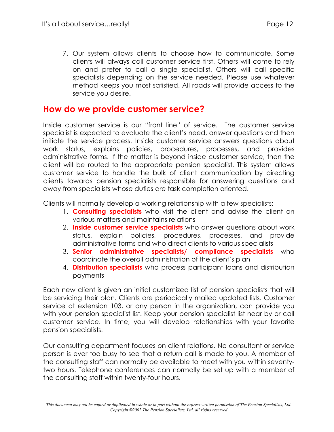7. Our system allows clients to choose how to communicate. Some clients will always call customer service first. Others will come to rely on and prefer to call a single specialist. Others will call specific specialists depending on the service needed. Please use whatever method keeps you most satisfied. All roads will provide access to the service you desire.

#### How do we provide customer service?

Inside customer service is our "front line" of service. The customer service specialist is expected to evaluate the client's need, answer questions and then initiate the service process. Inside customer service answers questions about work status, explains policies, procedures, processes, and provides administrative forms. If the matter is beyond inside customer service, then the client will be routed to the appropriate pension specialist. This system allows customer service to handle the bulk of client communication by directing clients towards pension specialists responsible for answering questions and away from specialists whose duties are task completion oriented.

Clients will normally develop a working relationship with a few specialists:

- 1. Consulting specialists who visit the client and advise the client on various matters and maintains relations
- 2. Inside customer service specialists who answer questions about work status, explain policies, procedures, processes, and provide administrative forms and who direct clients to various specialists
- 3. Senior administrative specialists/ compliance specialists who coordinate the overall administration of the client's plan
- 4. Distribution specialists who process participant loans and distribution payments

Each new client is given an initial customized list of pension specialists that will be servicing their plan. Clients are periodically mailed updated lists. Customer service at extension 103, or any person in the organization, can provide you with your pension specialist list. Keep your pension specialist list near by or call customer service. In time, you will develop relationships with your favorite pension specialists.

Our consulting department focuses on client relations. No consultant or service person is ever too busy to see that a return call is made to you. A member of the consulting staff can normally be available to meet with you within seventytwo hours. Telephone conferences can normally be set up with a member of the consulting staff within twenty-four hours.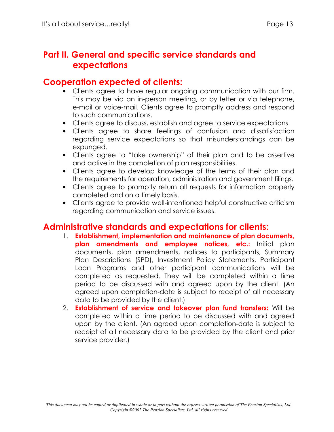## Part II. General and specific service standards and expectations

#### **Cooperation expected of clients:**

- Clients agree to have regular ongoing communication with our firm. This may be via an in-person meeting, or by letter or via telephone, e-mail or voice-mail. Clients agree to promptly address and respond to such communications.
- Clients agree to discuss, establish and agree to service expectations.
- Clients agree to share feelings of confusion and dissatisfaction regarding service expectations so that misunderstandings can be expunged.
- Clients agree to "take ownership" of their plan and to be assertive and active in the completion of plan responsibilities.
- Clients agree to develop knowledge of the terms of their plan and the requirements for operation, administration and government filings.
- Clients agree to promptly return all requests for information properly completed and on a timely basis.
- Clients agree to provide well-intentioned helpful constructive criticism regarding communication and service issues.

#### **Administrative standards and expectations for clients:**

- 1. Establishment, implementation and maintenance of plan documents, plan amendments and employee notices, etc.: Initial plan documents, plan amendments, notices to participants, Summary Plan Descriptions (SPD), Investment Policy Statements, Participant Loan Programs and other participant communications will be completed as requested. They will be completed within a time period to be discussed with and agreed upon by the client. (An agreed upon completion-date is subject to receipt of all necessary data to be provided by the client.)
- 2. Establishment of service and takeover plan fund transfers: Will be completed within a time period to be discussed with and agreed upon by the client. (An agreed upon completion-date is subject to receipt of all necessary data to be provided by the client and prior service provider.)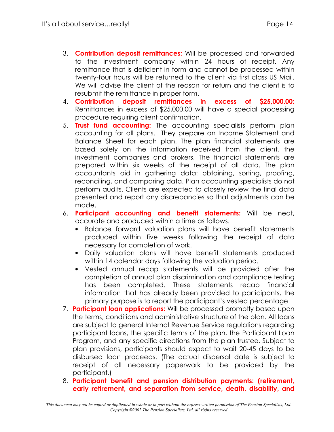- 3. Contribution deposit remittances: Will be processed and forwarded to the investment company within 24 hours of receipt. Any remittance that is deficient in form and cannot be processed within twenty-four hours will be returned to the client via first class US Mail. We will advise the client of the reason for return and the client is to resubmit the remittance in proper form.
- 4. Contribution deposit remittances in excess of S25.000.00: Remittances in excess of \$25,000.00 will have a special processing procedure requiring client confirmation.
- 5. Trust fund accounting: The accounting specialists perform plan accounting for all plans. They prepare an Income Statement and Balance Sheet for each plan. The plan financial statements are based solely on the information received from the client, the investment companies and brokers. The financial statements are prepared within six weeks of the receipt of all data. The plan accountants aid in gathering data: obtaining, sorting, proofing, reconciling, and comparing data. Plan accounting specialists do not perform audits. Clients are expected to closely review the final data presented and report any discrepancies so that adjustments can be made.
- 6. Participant accounting and benefit statements: Will be neat, accurate and produced within a time as follows.
	- $\bullet$ Balance forward valuation plans will have benefit statements produced within five weeks following the receipt of data necessary for completion of work.
	- Daily valuation plans will have benefit statements produced within 14 calendar days following the valuation period.
	- Vested annual recap statements will be provided after the completion of annual plan discrimination and compliance testing has been completed. These statements recap financial information that has already been provided to participants, the primary purpose is to report the participant's vested percentage.
- 7. Participant loan applications: Will be processed promptly based upon the terms, conditions and administrative structure of the plan. All loans are subject to general Internal Revenue Service regulations regarding participant loans, the specific terms of the plan, the Participant Loan Program, and any specific directions from the plan trustee. Subject to plan provisions, participants should expect to wait 20-45 days to be disbursed loan proceeds. (The actual dispersal date is subject to receipt of all necessary paperwork to be provided by the participant.)
- 8. Participant benefit and pension distribution payments: (retirement, early retirement, and separation from service, death, disability, and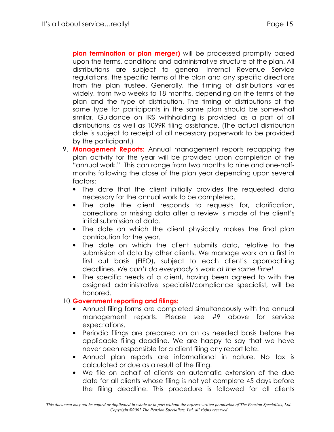plan termination or plan merger) will be processed promptly based upon the terms, conditions and administrative structure of the plan. All distributions are subject to general Internal Revenue Service regulations, the specific terms of the plan and any specific directions from the plan trustee. Generally, the timing of distributions varies widely, from two weeks to 18 months, depending on the terms of the plan and the type of distribution. The timing of distributions of the same type for participants in the same plan should be somewhat similar. Guidance on IRS withholding is provided as a part of all distributions, as well as 1099R filing assistance. (The actual distribution date is subject to receipt of all necessary paperwork to be provided by the participant.)

- 9. Management Reports: Annual management reports recapping the plan activity for the year will be provided upon completion of the "annual work." This can range from two months to nine and one-halfmonths following the close of the plan year depending upon several factors:
	- The date that the client initially provides the requested data necessary for the annual work to be completed.
	- The date the client responds to requests for, clarification, corrections or missing data after a review is made of the client's initial submission of data.
	- The date on which the client physically makes the final plan contribution for the year.
	- The date on which the client submits data, relative to the submission of data by other clients. We manage work on a first in first out basis (FIFO), subject to each client's approaching deadlines. We can't do everybody's work at the same time!
	- The specific needs of a client, having been agreed to with the assigned administrative specialist/compliance specialist, will be honored.

#### 10. Government reporting and filings:

- Annual filing forms are completed simultaneously with the annual management reports. Please see #9 above for service expectations.
- Periodic filings are prepared on an as needed basis before the applicable filing deadline. We are happy to say that we have never been responsible for a client filing any report late.
- Annual plan reports are informational in nature. No tax is calculated or due as a result of the filing.
- We file on behalf of clients an automatic extension of the due date for all clients whose filing is not yet complete 45 days before the filing deadline. This procedure is followed for all clients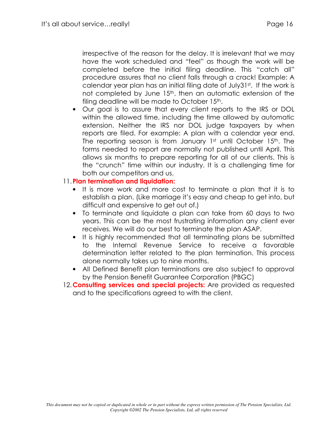irrespective of the reason for the delay. It is irrelevant that we may have the work scheduled and "feel" as though the work will be completed before the initial filing deadline. This "catch all" procedure assures that no client falls through a crack! Example: A calendar year plan has an initial filing date of July31st. If the work is not completed by June 15<sup>th</sup>, then an automatic extension of the filing deadline will be made to October 15th.

Our goal is to assure that every client reports to the IRS or DOL  $\bullet$ within the allowed time, including the time allowed by automatic extension. Neither the IRS nor DOL judge taxpayers by when reports are filed. For example: A plan with a calendar year end. The reporting season is from January 1st until October 15th. The forms needed to report are normally not published until April. This allows six months to prepare reporting for all of our clients. This is the "crunch" time within our industry. It is a challenging time for both our competitors and us.

#### 11. Plan termination and liquidation:

- It is more work and more cost to terminate a plan that it is to establish a plan. (Like marriage it's easy and cheap to get into, but difficult and expensive to get out of.)
- To terminate and liquidate a plan can take from 60 days to two years. This can be the most frustrating information any client ever receives. We will do our best to terminate the plan ASAP.
- It is highly recommended that all terminating plans be submitted to the Internal Revenue Service to receive a favorable determination letter related to the plan termination. This process alone normally takes up to nine months.
- All Defined Benefit plan terminations are also subject to approval by the Pension Benefit Guarantee Corporation (PBGC)
- 12. Consulting services and special projects: Are provided as requested and to the specifications agreed to with the client.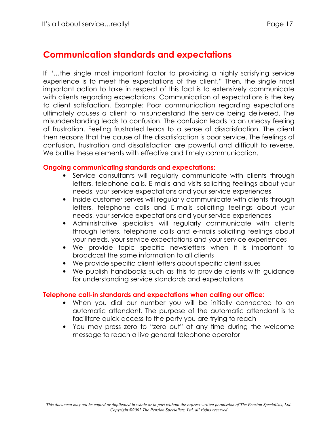## **Communication standards and expectations**

If "...the single most important factor to providing a highly satisfying service experience is to meet the expectations of the client." Then, the single most important action to take in respect of this fact is to extensively communicate with clients regarding expectations. Communication of expectations is the key to client satisfaction. Example: Poor communication regarding expectations ultimately causes a client to misunderstand the service being delivered. The misunderstanding leads to confusion. The confusion leads to an uneasy feeling of frustration. Feeling frustrated leads to a sense of dissatisfaction. The client then reasons that the cause of the dissatisfaction is poor service. The feelings of confusion, frustration and dissatisfaction are powerful and difficult to reverse. We battle these elements with effective and timely communication.

#### **Ongoing communicating standards and expectations:**

- Service consultants will regularly communicate with clients through letters, telephone calls, E-mails and visits soliciting feelings about your needs, your service expectations and your service experiences
- Inside customer serves will requiarly communicate with clients through letters, telephone calls and E-mails soliciting feelings about your needs, your service expectations and your service experiences
- Administrative specialists will regularly communicate with clients through letters, telephone calls and e-mails soliciting feelings about your needs, your service expectations and your service experiences
- We provide topic specific newsletters when it is important to broadcast the same information to all clients
- We provide specific client letters about specific client issues
- We publish handbooks such as this to provide clients with guidance for understanding service standards and expectations

#### Telephone call-in standards and expectations when calling our office:

- When you dial our number you will be initially connected to an automatic attendant. The purpose of the automatic attendant is to facilitate quick access to the party you are trying to reach
- You may press zero to "zero out" at any time during the welcome message to reach a live general telephone operator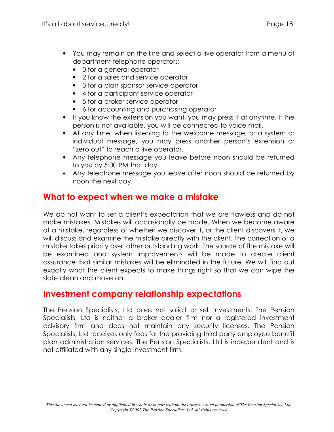- You may remain on the line and select a live operator from a menu of department telephone operators:
	- 0 for a general operator
	- 2 for a sales and service operator
	- 3 for a plan sponsor service operator
	- 4 for a participant service operator
	- 5 for a broker service operator
	- 6 for accounting and purchasing operator
- If you know the extension you want, you may press it at anytime. If the person is not available, you will be connected to voice mail.
- At any time, when listening to the welcome message, or a system or individual message, you may press another person's extension or "zero out" to reach a live operator.
- Any telephone message you leave before noon should be returned to you by 5:00 PM that day.
- Any telephone message you leave after noon should be returned by noon the next day.

## What to expect when we make a mistake

We do not want to set a client's expectation that we are flawless and do not make mistakes. Mistakes will occasionally be made. When we become aware of a mistake, regardless of whether we discover it, or the client discovers it, we will discuss and examine the mistake directly with the client. The correction of a mistake takes priority over other outstanding work. The source of the mistake will be examined and system improvements will be made to create client assurance that similar mistakes will be eliminated in the future. We will find out exactly what the client expects to make things right so that we can wipe the slate clean and move on.

## Investment company relationship expectations

The Pension Specialists, Ltd does not solicit or sell investments. The Pension Specialists, Ltd is neither a broker dealer firm nor a registered investment advisory firm and does not maintain any security licenses. The Pension Specialists, Ltd receives only fees for the providing third party employee benefit plan administration services. The Pension Specialists, Ltd is independent and is not affiliated with any single investment firm.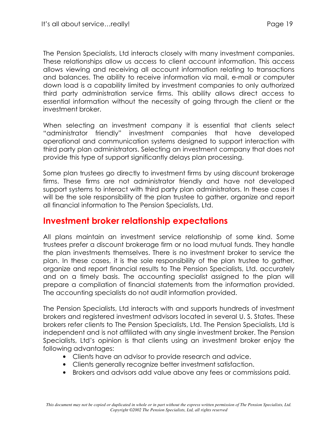The Pension Specialists, Ltd interacts closely with many investment companies. These relationships allow us access to client account information. This access allows viewing and receiving all account information relating to transactions and balances. The ability to receive information via mail, e-mail or computer down load is a capability limited by investment companies to only authorized third party administration service firms. This ability allows direct access to essential information without the necessity of going through the client or the investment broker.

When selecting an investment company it is essential that clients select "administrator friendly" investment companies that have developed operational and communication systems designed to support interaction with third party plan administrators. Selecting an investment company that does not provide this type of support significantly delays plan processing.

Some plan trustees go directly to investment firms by using discount brokerage firms. These firms are not administrator friendly and have not developed support systems to interact with third party plan administrators. In these cases it will be the sole responsibility of the plan trustee to gather, organize and report all financial information to The Pension Specialists, Ltd.

## **Investment broker relationship expectations**

All plans maintain an investment service relationship of some kind. Some trustees prefer a discount brokerage firm or no load mutual funds. They handle the plan investments themselves. There is no investment broker to service the plan. In these cases, it is the sole responsibility of the plan trustee to gather, organize and report financial results to The Pension Specialists, Ltd. accurately and on a timely basis. The accounting specialist assigned to the plan will prepare a compilation of financial statements from the information provided. The accounting specialists do not audit information provided.

The Pension Specialists, Ltd interacts with and supports hundreds of investment brokers and registered investment advisors located in several U.S. States. These brokers refer clients to The Pension Specialists, Ltd. The Pension Specialists, Ltd is independent and is not affiliated with any single investment broker. The Pension Specialists, Ltd's opinion is that clients using an investment broker enjoy the following advantages:

- Clients have an advisor to provide research and advice.
- Clients generally recognize better investment satisfaction.
- Brokers and advisors add value above any fees or commissions paid.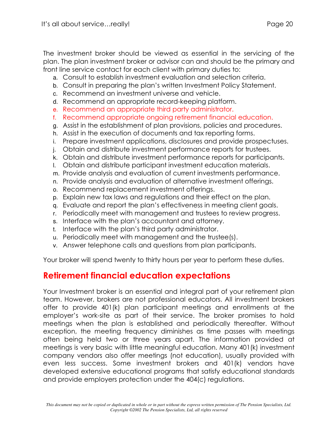The investment broker should be viewed as essential in the servicing of the plan. The plan investment broker or advisor can and should be the primary and front line service contact for each client with primary duties to:

- a. Consult to establish investment evaluation and selection criteria.
- b. Consult in preparing the plan's written Investment Policy Statement.
- c. Recommend an investment universe and vehicle.
- d. Recommend an appropriate record-keeping platform.
- e. Recommend an appropriate third party administrator.
- f. Recommend appropriate ongoing retirement financial education.
- g. Assist in the establishment of plan provisions, policies and procedures.
- h. Assist in the execution of documents and tax reporting forms.
- i. Prepare investment applications, disclosures and provide prospectuses.
- j. Obtain and distribute investment performance reports for trustees.
- k. Obtain and distribute investment performance reports for participants.
- I. Obtain and distribute participant investment education materials.
- m. Provide analysis and evaluation of current investments performance.
- n. Provide analysis and evaluation of alternative investment offerings.
- o. Recommend replacement investment offerings.
- p. Explain new tax laws and regulations and their effect on the plan.
- g. Evaluate and report the plan's effectiveness in meeting client goals.
- r. Periodically meet with management and trustees to review progress.
- s. Interface with the plan's accountant and attorney.
- t. Interface with the plan's third party administrator.
- u. Periodically meet with management and the trustee(s).
- v. Answer telephone calls and questions from plan participants.

Your broker will spend twenty to thirty hours per year to perform these duties.

## **Retirement financial education expectations**

Your Investment broker is an essential and integral part of your retirement plan team. However, brokers are not professional educators. All investment brokers offer to provide 401(k) plan participant meetings and enrollments at the employer's work-site as part of their service. The broker promises to hold meetings when the plan is established and periodically thereafter. Without exception, the meeting frequency diminishes as time passes with meetings often being held two or three years apart. The information provided at meetings is very basic with little meaningful education. Many 401(k) investment company vendors also offer meetings (not education), usually provided with even less success. Some investment brokers and 401(k) vendors have developed extensive educational programs that satisfy educational standards and provide employers protection under the 404(c) regulations.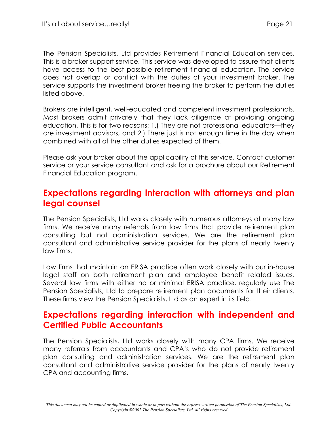The Pension Specialists, Ltd provides Retirement Financial Education services. This is a broker support service. This service was developed to assure that clients have access to the best possible retirement financial education. The service does not overlap or conflict with the duties of your investment broker. The service supports the investment broker freeing the broker to perform the duties listed above.

Brokers are intelligent, well-educated and competent investment professionals. Most brokers admit privately that they lack diligence at providing ongoing education. This is for two reasons: 1.) They are not professional educators—they are investment advisors, and 2.) There just is not enough time in the day when combined with all of the other duties expected of them.

Please ask your broker about the applicability of this service. Contact customer service or your service consultant and ask for a brochure about our Retirement Financial Education program.

#### Expectations regarding interaction with attorneys and plan legal counsel

The Pension Specialists, Ltd works closely with numerous attorneys at many law firms. We receive many referrals from law firms that provide retirement plan consulting but not administration services. We are the retirement plan consultant and administrative service provider for the plans of nearly twenty law firms.

Law firms that maintain an ERISA practice often work closely with our in-house legal staff on both retirement plan and employee benefit related issues. Several law firms with either no or minimal ERISA practice, regularly use The Pension Specialists, Ltd to prepare retirement plan documents for their clients. These firms view the Pension Specialists, Ltd as an expert in its field.

#### Expectations regarding interaction with independent and **Certified Public Accountants**

The Pension Specialists, Ltd works closely with many CPA firms. We receive many referrals from accountants and CPA's who do not provide retirement plan consulting and administration services. We are the retirement plan consultant and administrative service provider for the plans of nearly twenty CPA and accounting firms.